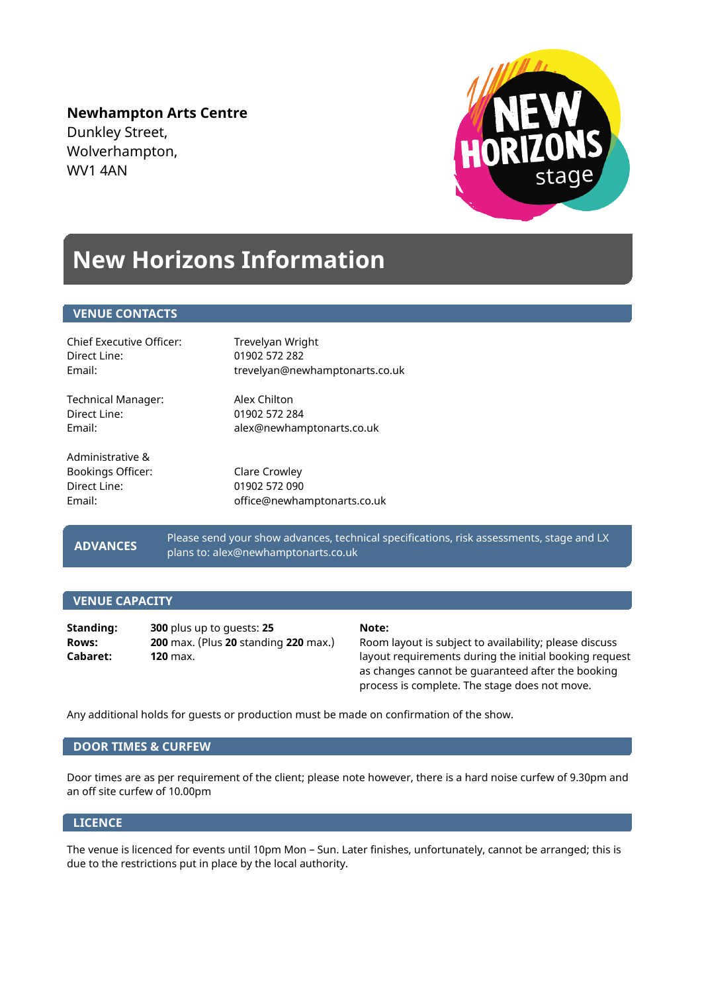**Newhampton Arts Centre** Dunkley Street, Wolverhampton, WV1 4AN



## **New Horizons Information**

## **VENUE CONTACTS**

| <b>Chief Executive Officer:</b>                                 | Trevelyan Wright                                              |
|-----------------------------------------------------------------|---------------------------------------------------------------|
| Direct Line:                                                    | 01902 572 282                                                 |
| Email:                                                          | trevelyan@newhamptonarts.co.uk                                |
| Technical Manager:                                              | Alex Chilton                                                  |
| Direct Line:                                                    | 01902 572 284                                                 |
| Fmail:                                                          | alex@newhamptonarts.co.uk                                     |
| Administrative &<br>Bookings Officer:<br>Direct Line:<br>Fmail: | Clare Crowley<br>01902 572 090<br>office@newhamptonarts.co.uk |

 **ADVANCES**

Please send your show advances, technical specifications, risk assessments, stage and LX plans to: alex@newhamptonarts.co.uk

## **VENUE CAPACITY**

**Standing: 300** plus up to guests: **25 Note: Rows: 200** max. (Plus **20** standing **220** max.) Room layout is subject to availability; please discuss

**Cabaret: 120** max. **120** max. **120** max. **120** max. **120** max. **120** max. **120** max. **120** max. as changes cannot be guaranteed after the booking process is complete. The stage does not move.

Any additional holds for guests or production must be made on confirmation of the show.

## **DOOR TIMES & CURFEW**

Door times are as per requirement of the client; please note however, there is a hard noise curfew of 9.30pm and an off site curfew of 10.00pm

## **LICENCE**

The venue is licenced for events until 10pm Mon – Sun. Later finishes, unfortunately, cannot be arranged; this is due to the restrictions put in place by the local authority.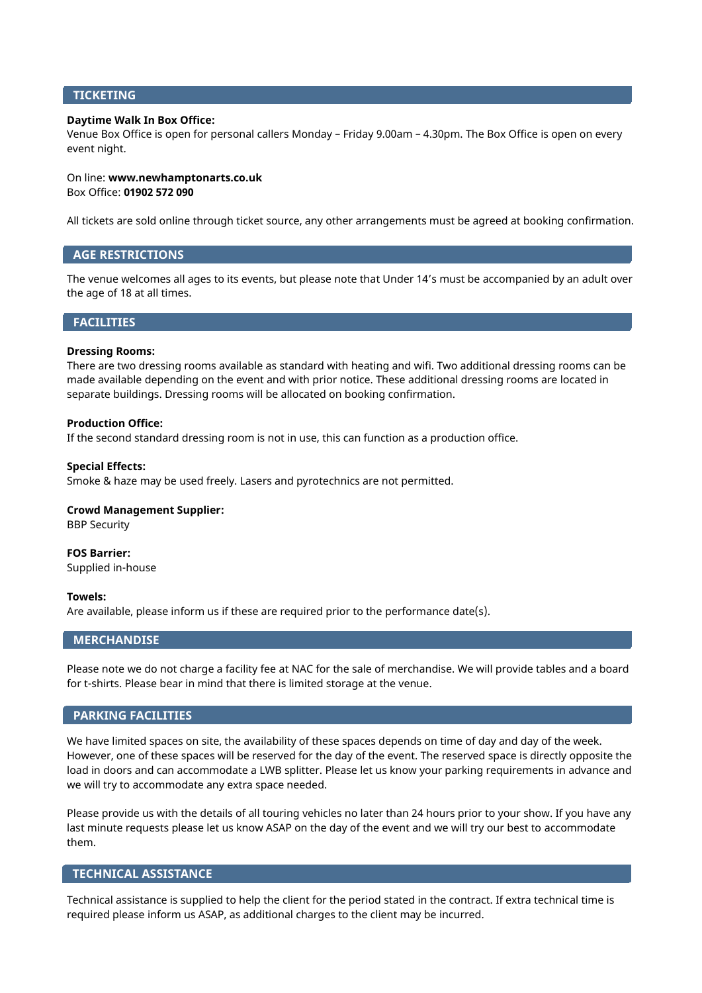## **TICKETING**

## **Daytime Walk In Box Office:**

Venue Box Office is open for personal callers Monday – Friday 9.00am – 4.30pm. The Box Office is open on every event night.

## On line: **www.newhamptonarts.co.uk** Box Office: **01902 572 090**

All tickets are sold online through ticket source, any other arrangements must be agreed at booking confirmation.

## **AGE RESTRICTIONS**

The venue welcomes all ages to its events, but please note that Under 14's must be accompanied by an adult over the age of 18 at all times.

## **FACILITIES**

## **Dressing Rooms:**

There are two dressing rooms available as standard with heating and wifi. Two additional dressing rooms can be made available depending on the event and with prior notice. These additional dressing rooms are located in separate buildings. Dressing rooms will be allocated on booking confirmation.

## **Production Office:**

If the second standard dressing room is not in use, this can function as a production office.

## **Special Effects:**

Smoke & haze may be used freely. Lasers and pyrotechnics are not permitted.

## **Crowd Management Supplier:**

BBP Security

**FOS Barrier:** Supplied in-house

## **Towels:**

Are available, please inform us if these are required prior to the performance date(s).

## **MERCHANDISE**

Please note we do not charge a facility fee at NAC for the sale of merchandise. We will provide tables and a board for t-shirts. Please bear in mind that there is limited storage at the venue.

## **PARKING FACILITIES**

We have limited spaces on site, the availability of these spaces depends on time of day and day of the week. However, one of these spaces will be reserved for the day of the event. The reserved space is directly opposite the load in doors and can accommodate a LWB splitter. Please let us know your parking requirements in advance and we will try to accommodate any extra space needed.

Please provide us with the details of all touring vehicles no later than 24 hours prior to your show. If you have any last minute requests please let us know ASAP on the day of the event and we will try our best to accommodate them.

## **TECHNICAL ASSISTANCE**

Technical assistance is supplied to help the client for the period stated in the contract. If extra technical time is required please inform us ASAP, as additional charges to the client may be incurred.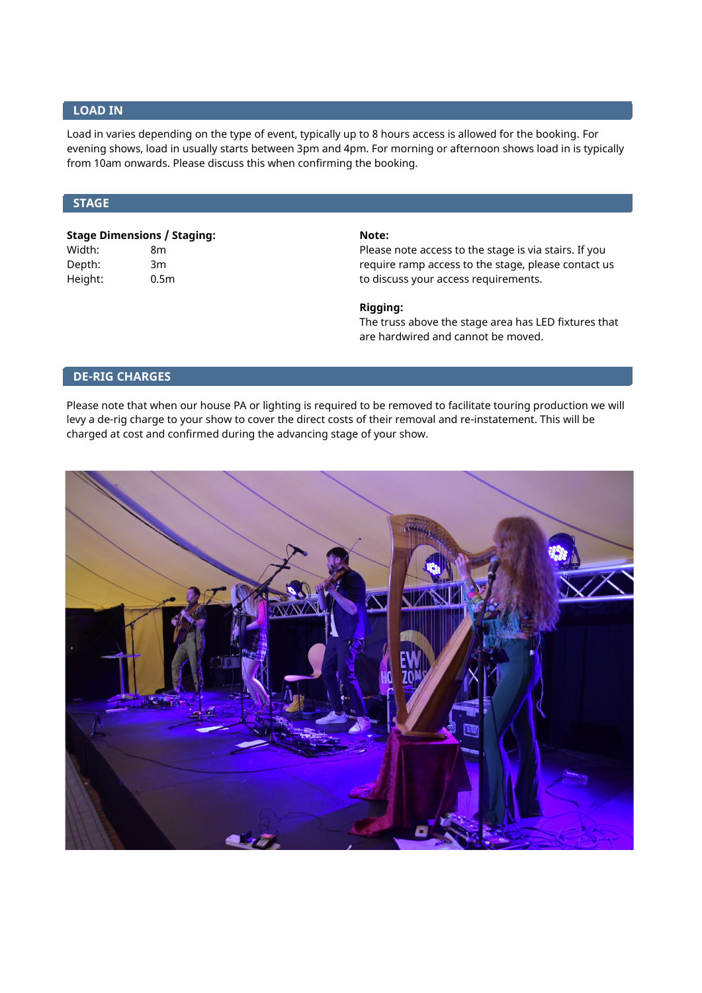## **LOAD IN**

Load in varies depending on the type of event, typically up to 8 hours access is allowed for the booking. For evening shows, load in usually starts between 3pm and 4pm. For morning or afternoon shows load in is typically from 10am onwards. Please discuss this when confirming the booking.

## **STAGE**

# **Stage Dimensions / Staging: Note:**

Width: 8m 8m Please note access to the stage is via stairs. If you Depth: 3m 3m 3m and 2002 and 3m and 2003 and 3m and 2003 arequire ramp access to the stage, please contact us Height: 0.5m 0.5m to discuss your access requirements.

## **Rigging:**

The truss above the stage area has LED fixtures that are hardwired and cannot be moved.

## **DE-RIG CHARGES**

Please note that when our house PA or lighting is required to be removed to facilitate touring production we will levy a de-rig charge to your show to cover the direct costs of their removal and re-instatement. This will be charged at cost and confirmed during the advancing stage of your show.

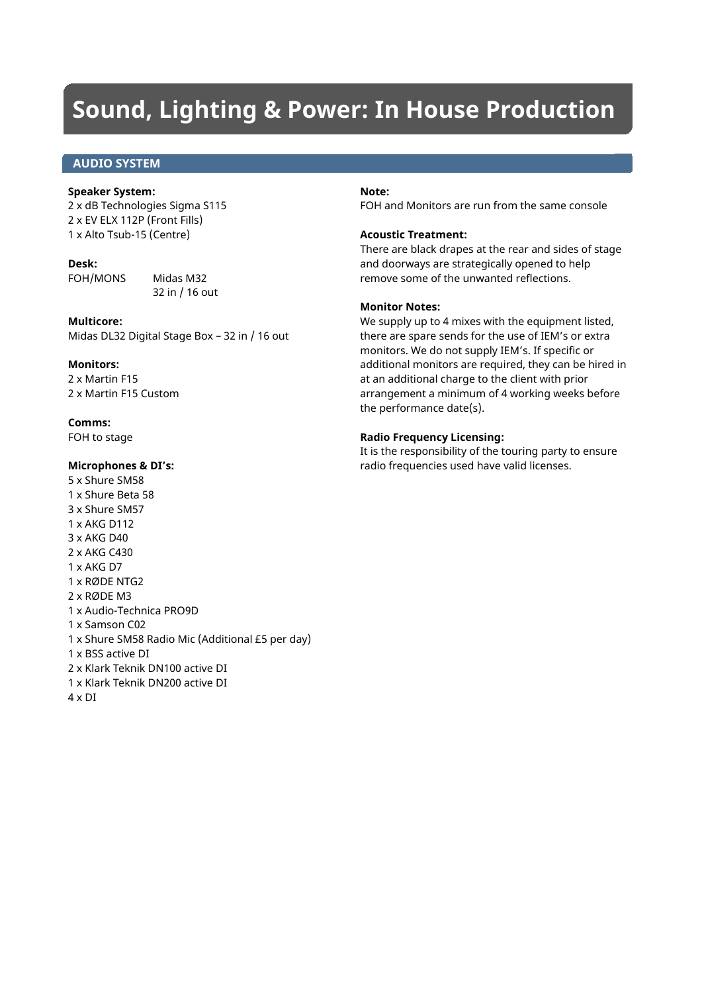## **Sound, Lighting & Power: In House Production**

## **AUDIO SYSTEM**

### **Speaker System:**

2 x dB Technologies Sigma S115 2 x EV ELX 112P (Front Fills) 1 x Alto Tsub-15 (Centre)

## **Desk:**

FOH/MONS Midas M32 32 in / 16 out

## **Multicore:**

Midas DL32 Digital Stage Box – 32 in / 16 out

## **Monitors:**

2 x Martin F15 2 x Martin F15 Custom

**Comms:** FOH to stage

## **Microphones & DI's:**

5 x Shure SM58 1 x Shure Beta 58 3 x Shure SM57 1 x AKG D112 3 x AKG D40 2 x AKG C430 1 x AKG D7 1 x RØDE NTG2 2 x RØDE M3 1 x Audio-Technica PRO9D 1 x Samson C02 1 x Shure SM58 Radio Mic (Additional £5 per day) 1 x BSS active DI 2 x Klark Teknik DN100 active DI 1 x Klark Teknik DN200 active DI 4 x DI

## **Note:**

FOH and Monitors are run from the same console

## **Acoustic Treatment:**

There are black drapes at the rear and sides of stage and doorways are strategically opened to help remove some of the unwanted reflections.

## **Monitor Notes:**

We supply up to 4 mixes with the equipment listed, there are spare sends for the use of IEM's or extra monitors. We do not supply IEM's. If specific or additional monitors are required, they can be hired in at an additional charge to the client with prior arrangement a minimum of 4 working weeks before the performance date(s).

## **Radio Frequency Licensing:**

It is the responsibility of the touring party to ensure radio frequencies used have valid licenses.